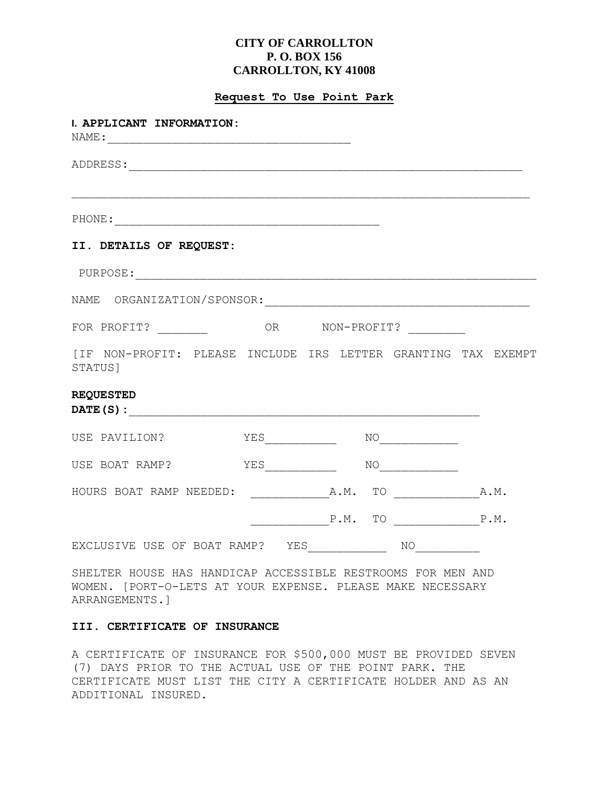# **CITY OF CARROLLTON P. O. BOX 156 CARROLLTON, KY 41008**

### **Request To Use Point Park**

| I. APPLICANT INFORMATION:                                                |                    |                  |                                                                                                                                                                                                                                                                                                                                                     |  |
|--------------------------------------------------------------------------|--------------------|------------------|-----------------------------------------------------------------------------------------------------------------------------------------------------------------------------------------------------------------------------------------------------------------------------------------------------------------------------------------------------|--|
|                                                                          |                    |                  |                                                                                                                                                                                                                                                                                                                                                     |  |
|                                                                          |                    |                  |                                                                                                                                                                                                                                                                                                                                                     |  |
| II. DETAILS OF REQUEST:                                                  |                    |                  |                                                                                                                                                                                                                                                                                                                                                     |  |
|                                                                          |                    |                  |                                                                                                                                                                                                                                                                                                                                                     |  |
| NAME ORGANIZATION/SPONSOR:                                               |                    |                  |                                                                                                                                                                                                                                                                                                                                                     |  |
|                                                                          |                    |                  |                                                                                                                                                                                                                                                                                                                                                     |  |
| [IF NON-PROFIT: PLEASE INCLUDE IRS LETTER GRANTING TAX EXEMPT<br>STATUS] |                    |                  |                                                                                                                                                                                                                                                                                                                                                     |  |
| <b>REQUESTED</b>                                                         |                    |                  |                                                                                                                                                                                                                                                                                                                                                     |  |
| USE PAVILION?                                                            | YES_______________ |                  | $\begin{picture}(150,10) \put(0,0){\line(1,0){10}} \put(15,0){\line(1,0){10}} \put(15,0){\line(1,0){10}} \put(15,0){\line(1,0){10}} \put(15,0){\line(1,0){10}} \put(15,0){\line(1,0){10}} \put(15,0){\line(1,0){10}} \put(15,0){\line(1,0){10}} \put(15,0){\line(1,0){10}} \put(15,0){\line(1,0){10}} \put(15,0){\line(1,0){10}} \put(15,0){\line($ |  |
| USE BOAT RAMP?                                                           |                    |                  | $\begin{picture}(150,10) \put(0,0){\line(1,0){10}} \put(15,0){\line(1,0){10}} \put(15,0){\line(1,0){10}} \put(15,0){\line(1,0){10}} \put(15,0){\line(1,0){10}} \put(15,0){\line(1,0){10}} \put(15,0){\line(1,0){10}} \put(15,0){\line(1,0){10}} \put(15,0){\line(1,0){10}} \put(15,0){\line(1,0){10}} \put(15,0){\line(1,0){10}} \put(15,0){\line($ |  |
|                                                                          |                    |                  |                                                                                                                                                                                                                                                                                                                                                     |  |
|                                                                          |                    | $P.M.$ TO $P.M.$ |                                                                                                                                                                                                                                                                                                                                                     |  |
| EXCLUSIVE USE OF BOAT RAMP? YES______________                            |                    |                  | NO                                                                                                                                                                                                                                                                                                                                                  |  |

SHELTER HOUSE HAS HANDICAP ACCESSIBLE RESTROOMS FOR MEN AND WOMEN. [PORT-O-LETS AT YOUR EXPENSE. PLEASE MAKE NECESSARY ARRANGEMENTS.]

### **III. CERTIFICATE OF INSURANCE**

A CERTIFICATE OF INSURANCE FOR \$500,000 MUST BE PROVIDED SEVEN (7) DAYS PRIOR TO THE ACTUAL USE OF THE POINT PARK. THE CERTIFICATE MUST LIST THE CITY A CERTIFICATE HOLDER AND AS AN ADDITIONAL INSURED.